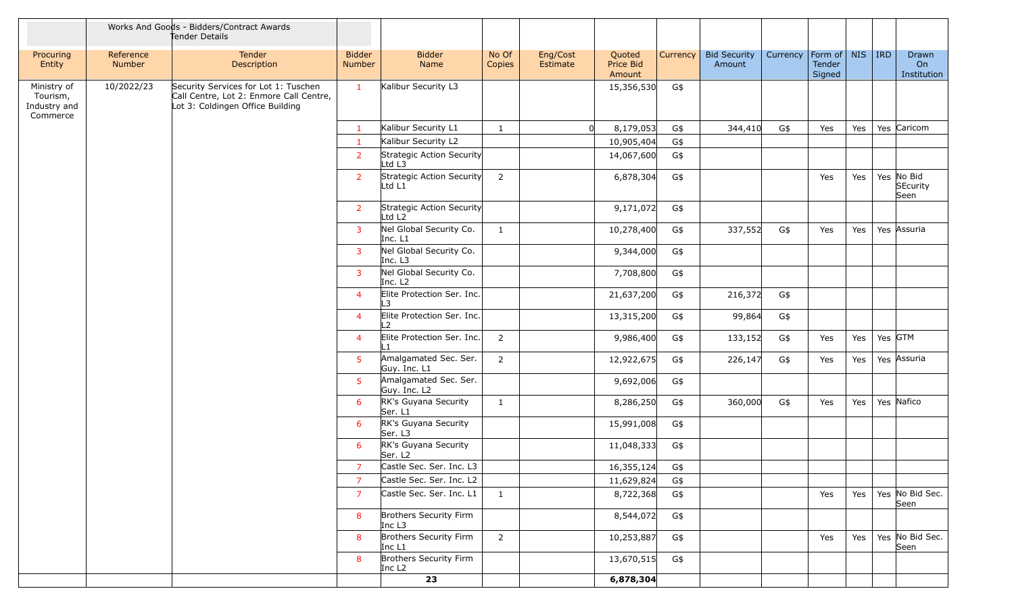|                                                     |                     | Works And Goods - Bidders/Contract Awards<br>Tender Details                                                         |                         |                                                 |                 |                      |                               |          |                               |          |                             |            |                                               |                            |
|-----------------------------------------------------|---------------------|---------------------------------------------------------------------------------------------------------------------|-------------------------|-------------------------------------------------|-----------------|----------------------|-------------------------------|----------|-------------------------------|----------|-----------------------------|------------|-----------------------------------------------|----------------------------|
| Procuring<br>Entity                                 | Reference<br>Number | Tender<br>Description                                                                                               | <b>Bidder</b><br>Number | <b>Bidder</b><br>Name                           | No Of<br>Copies | Eng/Cost<br>Estimate | Quoted<br>Price Bid<br>Amount | Currency | <b>Bid Security</b><br>Amount | Currency | Form of<br>Tender<br>Signed | <b>NIS</b> | <b>IRD</b>                                    | Drawn<br>On<br>Institution |
| Ministry of<br>Tourism,<br>Industry and<br>Commerce | 10/2022/23          | Security Services for Lot 1: Tuschen<br>Call Centre, Lot 2: Enmore Call Centre,<br>Lot 3: Coldingen Office Building | $\mathbf{1}$            | Kalibur Security L3                             |                 |                      | 15,356,530                    | G\$      |                               |          |                             |            |                                               |                            |
|                                                     |                     |                                                                                                                     | $\mathbf{1}$            | Kalibur Security L1                             | 1               |                      | 8,179,053                     | G\$      | 344,410                       | G\$      | Yes                         | Yes        | Yes Caricom<br>Yes No Bid<br>SEcurity<br>Seen |                            |
|                                                     |                     |                                                                                                                     | $\mathbf{1}$            | Kalibur Security L2                             |                 |                      | 10,905,404                    | G\$      |                               |          |                             |            |                                               |                            |
|                                                     |                     |                                                                                                                     | $\overline{2}$          | Strategic Action Security<br>Ltd L3             |                 |                      | 14,067,600                    | G\$      |                               |          |                             |            |                                               |                            |
|                                                     |                     |                                                                                                                     | $\overline{2}$          | Strategic Action Security<br>Ltd L1             | $\overline{2}$  |                      | 6,878,304                     | G\$      |                               |          | Yes                         | Yes        |                                               |                            |
|                                                     |                     |                                                                                                                     | <b>2</b>                | Strategic Action Security<br>Ltd L <sub>2</sub> |                 |                      | 9,171,072                     | G\$      |                               |          |                             |            |                                               |                            |
|                                                     |                     |                                                                                                                     | $\overline{3}$          | Nel Global Security Co.<br>Inc. L1              | 1               |                      | 10,278,400                    | G\$      | 337,552                       | G\$      | Yes                         | Yes        |                                               | Yes Assuria                |
|                                                     |                     |                                                                                                                     | $\overline{3}$          | Nel Global Security Co.<br>Inc. L3              |                 |                      | 9,344,000                     | G\$      |                               |          |                             |            |                                               |                            |
|                                                     |                     |                                                                                                                     | $\overline{3}$          | Nel Global Security Co.<br>Inc. L <sub>2</sub>  |                 |                      | 7,708,800                     | G\$      |                               |          |                             |            |                                               |                            |
|                                                     |                     |                                                                                                                     | $\overline{4}$          | Elite Protection Ser. Inc.<br>L3                |                 |                      | 21,637,200                    | G\$      | 216,372                       | G\$      |                             |            |                                               |                            |
|                                                     |                     |                                                                                                                     | 4                       | Elite Protection Ser. Inc.<br>$\mathcal{L}$     |                 |                      | 13,315,200                    | G\$      | 99,864                        | G\$      |                             |            |                                               |                            |
|                                                     |                     |                                                                                                                     | $\overline{4}$          | Elite Protection Ser. Inc.                      | 2               |                      | 9,986,400                     | G\$      | 133,152                       | G\$      | Yes                         | Yes        | Yes GTM                                       |                            |
|                                                     |                     |                                                                                                                     | 5 <sup>1</sup>          | Amalgamated Sec. Ser.<br>Guy. Inc. L1           | $\overline{2}$  |                      | 12,922,675                    | G\$      | 226,147                       | G\$      | Yes                         | Yes        |                                               | Yes Assuria                |
|                                                     |                     |                                                                                                                     | 5 <sup>5</sup>          | Amalgamated Sec. Ser.<br>Guy. Inc. L2           |                 |                      | 9,692,006                     | G\$      |                               |          |                             |            |                                               |                            |
|                                                     |                     |                                                                                                                     | 6                       | RK's Guyana Security<br>Ser. L1                 | $\mathbf{1}$    |                      | 8,286,250                     | G\$      | 360,000                       | G\$      | Yes                         | Yes        | Yes Nafico                                    |                            |
|                                                     |                     |                                                                                                                     | 6                       | RK's Guyana Security<br>Ser. L3                 |                 |                      | 15,991,008                    | G\$      |                               |          |                             |            |                                               |                            |
|                                                     |                     |                                                                                                                     | 6                       | RK's Guyana Security<br>Ser. L <sub>2</sub>     |                 |                      | 11,048,333                    | G\$      |                               |          |                             |            |                                               |                            |
|                                                     |                     |                                                                                                                     | $\overline{7}$          | Castle Sec. Ser. Inc. L3                        |                 |                      | 16,355,124                    | G\$      |                               |          |                             |            |                                               |                            |
|                                                     |                     |                                                                                                                     | $\overline{7}$          | Castle Sec. Ser. Inc. L2                        |                 |                      | 11,629,824                    | G\$      |                               |          |                             |            |                                               |                            |
|                                                     |                     |                                                                                                                     | $\overline{7}$          | Castle Sec. Ser. Inc. L1                        | $\mathbf{1}$    |                      | 8,722,368                     | G\$      |                               |          | Yes                         | Yes        |                                               | Yes No Bid Sec.<br>Seen    |
|                                                     |                     |                                                                                                                     | 8                       | Brothers Security Firm<br>Inc $L3$              |                 |                      | 8,544,072                     | G\$      |                               |          |                             |            |                                               |                            |
|                                                     |                     |                                                                                                                     | 8                       | Brothers Security Firm<br>Inc L1                | $\overline{2}$  |                      | 10,253,887                    | G\$      |                               |          | Yes                         | Yes        |                                               | Yes No Bid Sec.<br>Seen    |
|                                                     |                     |                                                                                                                     | 8                       | Brothers Security Firm<br>Inc $L2$              |                 |                      | 13,670,515                    | G\$      |                               |          |                             |            |                                               |                            |
|                                                     |                     |                                                                                                                     |                         | 23                                              |                 |                      | 6,878,304                     |          |                               |          |                             |            |                                               |                            |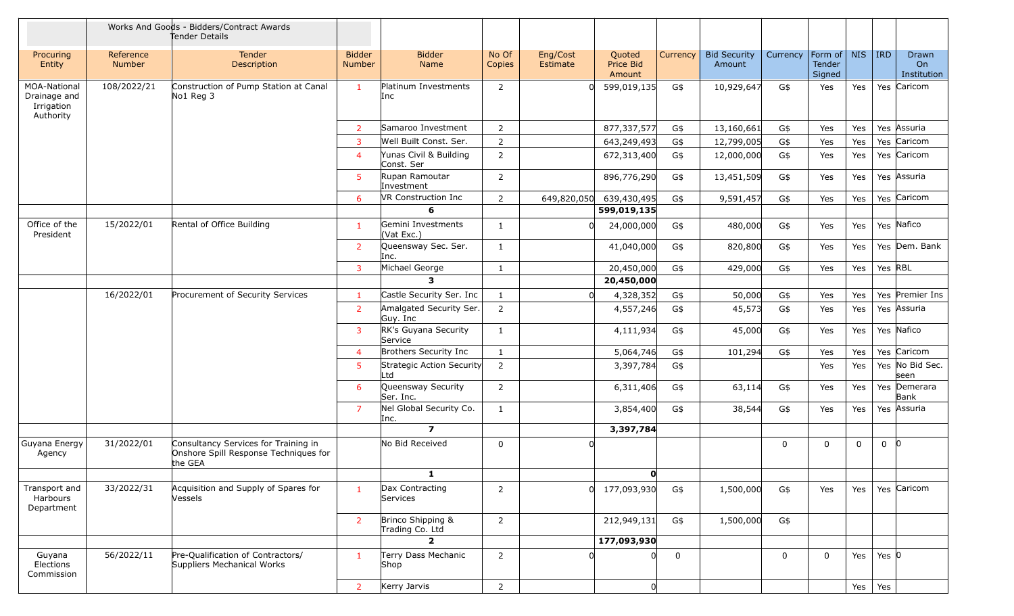|                                                         |                     | Works And Goods - Bidders/Contract Awards<br>Tender Details                              |                                |                                      |                 |                      |                                      |             |                               |          |                             |            |            |                            |
|---------------------------------------------------------|---------------------|------------------------------------------------------------------------------------------|--------------------------------|--------------------------------------|-----------------|----------------------|--------------------------------------|-------------|-------------------------------|----------|-----------------------------|------------|------------|----------------------------|
| Procuring<br>Entity                                     | Reference<br>Number | <b>Tender</b><br>Description                                                             | <b>Bidder</b><br><b>Number</b> | <b>Bidder</b><br>Name                | No Of<br>Copies | Eng/Cost<br>Estimate | Quoted<br><b>Price Bid</b><br>Amount | Currency    | <b>Bid Security</b><br>Amount | Currency | Form of<br>Tender<br>Signed | <b>NIS</b> | <b>IRD</b> | Drawn<br>On<br>Institution |
| MOA-National<br>Drainage and<br>Irrigation<br>Authority | 108/2022/21         | Construction of Pump Station at Canal<br>No1 Reg 3                                       | $\mathbf{1}$                   | Platinum Investments<br>Inc          | 2               |                      | 599,019,135                          | G\$         | 10,929,647                    | G\$      | Yes                         | Yes        |            | Yes Caricom                |
|                                                         |                     |                                                                                          | $\overline{2}$                 | Samaroo Investment                   | $\overline{2}$  |                      | 877,337,577                          | G\$         | 13,160,661                    | G\$      | Yes                         | Yes        |            | Yes Assuria                |
|                                                         |                     |                                                                                          | $\overline{3}$                 | Well Built Const. Ser.               | $\overline{2}$  |                      | 643,249,493                          | G\$         | 12,799,005                    | G\$      | Yes                         | Yes        |            | Yes Caricom                |
|                                                         |                     |                                                                                          | $\overline{4}$                 | Yunas Civil & Building<br>Const. Ser | $\overline{2}$  |                      | 672,313,400                          | G\$         | 12,000,000                    | G\$      | Yes                         | Yes        |            | Yes Caricom                |
|                                                         |                     |                                                                                          | 5                              | Rupan Ramoutar<br>Investment         | 2               |                      | 896,776,290                          | G\$         | 13,451,509                    | G\$      | Yes                         | Yes        |            | Yes Assuria                |
|                                                         |                     |                                                                                          | 6                              | VR Construction Inc                  | 2               | 649,820,050          | 639,430,495                          | G\$         | 9,591,457                     | G\$      | Yes                         | Yes        |            | Yes Caricom                |
|                                                         |                     |                                                                                          |                                | 6                                    |                 |                      | 599,019,135                          |             |                               |          |                             |            |            |                            |
| Office of the<br>President                              | 15/2022/01          | Rental of Office Building                                                                | $\mathbf{1}$                   | Gemini Investments<br>(Vat Exc.)     | 1               |                      | 24,000,000                           | G\$         | 480,000                       | G\$      | Yes                         | Yes        |            | Yes Nafico                 |
|                                                         |                     |                                                                                          | $\overline{2}$                 | Queensway Sec. Ser.<br>Inc.          | 1               |                      | 41,040,000                           | G\$         | 820,800                       | G\$      | Yes                         | Yes        |            | Yes Dem. Bank              |
|                                                         |                     |                                                                                          | $\overline{3}$                 | Michael George                       | $\mathbf{1}$    |                      | 20,450,000                           | G\$         | 429,000                       | G\$      | Yes                         | Yes        | Yes RBL    |                            |
|                                                         |                     |                                                                                          |                                | $\mathbf{3}$                         |                 |                      | 20,450,000                           |             |                               |          |                             |            |            |                            |
|                                                         | 16/2022/01          | Procurement of Security Services                                                         | $\mathbf{1}$                   | Castle Security Ser. Inc             | $\mathbf{1}$    |                      | 4,328,352                            | G\$         | 50,000                        | G\$      | Yes                         | Yes        |            | Yes Premier Ins            |
|                                                         |                     |                                                                                          | $\overline{2}$                 | Amalgated Security Ser.<br>Guy. Inc  | $\overline{2}$  |                      | 4,557,246                            | G\$         | 45,573                        | G\$      | Yes                         | Yes        |            | Yes Assuria                |
|                                                         |                     |                                                                                          | 3                              | RK's Guyana Security<br>Service      | $\mathbf{1}$    |                      | 4,111,934                            | G\$         | 45,000                        | G\$      | Yes                         | Yes        |            | Yes Nafico                 |
|                                                         |                     |                                                                                          | $\overline{4}$                 | Brothers Security Inc                | $\mathbf{1}$    |                      | 5,064,746                            | G\$         | 101,294                       | G\$      | Yes                         | Yes        |            | Yes Caricom                |
|                                                         |                     |                                                                                          | 5                              | Strategic Action Security<br>Ltd     | 2               |                      | 3,397,784                            | G\$         |                               |          | Yes                         | Yes        |            | Yes No Bid Sec.<br>seen    |
|                                                         |                     |                                                                                          | 6                              | Queensway Security<br>Ser. Inc.      | 2               |                      | 6,311,406                            | G\$         | 63,114                        | G\$      | Yes                         | Yes        |            | Yes Demerara<br>Bank       |
|                                                         |                     |                                                                                          | $\overline{7}$                 | Nel Global Security Co.<br>Inc.      | 1               |                      | 3,854,400                            | G\$         | 38,544                        | G\$      | Yes                         | Yes        |            | Yes Assuria                |
|                                                         |                     |                                                                                          |                                | $\overline{z}$                       |                 |                      | 3,397,784                            |             |                               |          |                             |            |            |                            |
| Guyana Energy<br>Agency                                 | 31/2022/01          | Consultancy Services for Training in<br>Onshore Spill Response Techniques for<br>the GEA |                                | No Bid Received                      | $\mathbf 0$     |                      |                                      |             |                               | 0        | 0                           | 0          | 0          | -10                        |
|                                                         |                     |                                                                                          |                                | $\mathbf{1}$                         |                 |                      | $\mathbf{0}$                         |             |                               |          |                             |            |            |                            |
| Transport and<br>Harbours<br>Department                 | 33/2022/31          | Acquisition and Supply of Spares for<br>Vessels                                          | $\mathbf{1}$                   | Dax Contracting<br>Services          | $\overline{2}$  |                      | 0 177,093,930                        | G\$         | 1,500,000                     | G\$      | Yes                         | Yes        |            | Yes Caricom                |
|                                                         |                     |                                                                                          | $\overline{2}$                 | Brinco Shipping &<br>Trading Co. Ltd | $\overline{2}$  |                      | 212,949,131                          | G\$         | 1,500,000                     | G\$      |                             |            |            |                            |
|                                                         |                     |                                                                                          |                                | $\overline{2}$                       |                 |                      | 177,093,930                          |             |                               |          |                             |            |            |                            |
| Guyana<br>Elections<br>Commission                       | 56/2022/11          | Pre-Qualification of Contractors/<br>Suppliers Mechanical Works                          | $\mathbf{1}$                   | Terry Dass Mechanic<br>Shop          | $\overline{2}$  |                      |                                      | $\mathbf 0$ |                               | 0        | $\Omega$                    | Yes        | Yes $ 0$   |                            |
|                                                         |                     |                                                                                          | $\overline{2}$                 | Kerry Jarvis                         | $\overline{2}$  |                      | 0                                    |             |                               |          |                             | Yes        | Yes        |                            |